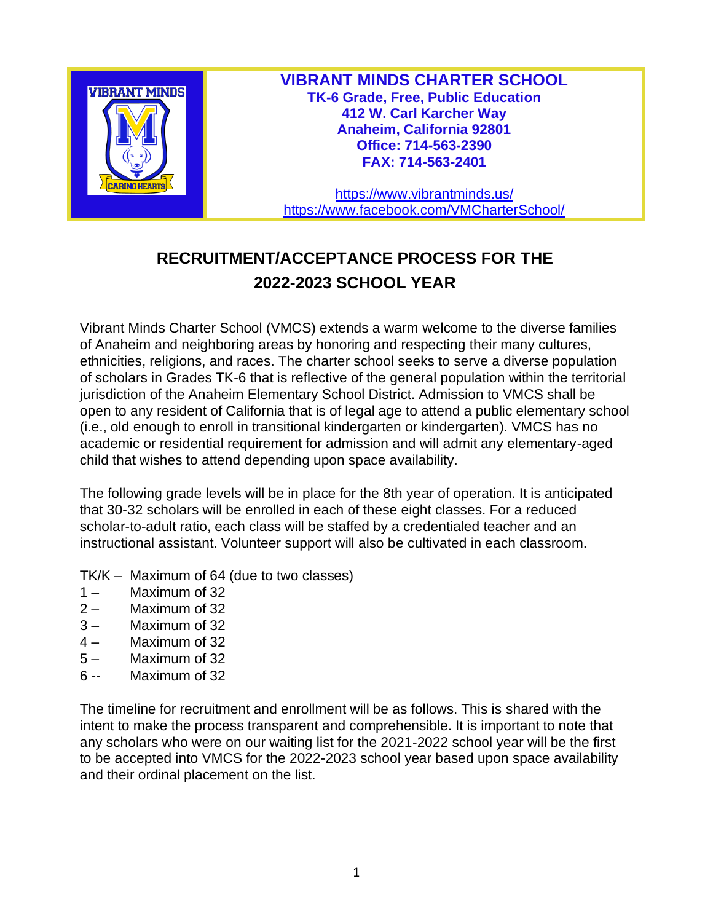

**VIBRANT MINDS CHARTER SCHOOL TK-6 Grade, Free, Public Education 412 W. Carl Karcher Way Anaheim, California 92801 Office: 714-563-2390 FAX: 714-563-2401**

<https://www.vibrantminds.us/> <https://www.facebook.com/VMCharterSchool/>

## **RECRUITMENT/ACCEPTANCE PROCESS FOR THE 2022-2023 SCHOOL YEAR**

Vibrant Minds Charter School (VMCS) extends a warm welcome to the diverse families of Anaheim and neighboring areas by honoring and respecting their many cultures, ethnicities, religions, and races. The charter school seeks to serve a diverse population of scholars in Grades TK-6 that is reflective of the general population within the territorial jurisdiction of the Anaheim Elementary School District. Admission to VMCS shall be open to any resident of California that is of legal age to attend a public elementary school (i.e., old enough to enroll in transitional kindergarten or kindergarten). VMCS has no academic or residential requirement for admission and will admit any elementary-aged child that wishes to attend depending upon space availability.

The following grade levels will be in place for the 8th year of operation. It is anticipated that 30-32 scholars will be enrolled in each of these eight classes. For a reduced scholar-to-adult ratio, each class will be staffed by a credentialed teacher and an instructional assistant. Volunteer support will also be cultivated in each classroom.

- TK/K Maximum of 64 (due to two classes)
- 1 Maximum of 32
- 2 Maximum of 32
- 3 Maximum of 32
- 4 Maximum of 32
- 5 Maximum of 32
- 6 -- Maximum of 32

The timeline for recruitment and enrollment will be as follows. This is shared with the intent to make the process transparent and comprehensible. It is important to note that any scholars who were on our waiting list for the 2021-2022 school year will be the first to be accepted into VMCS for the 2022-2023 school year based upon space availability and their ordinal placement on the list.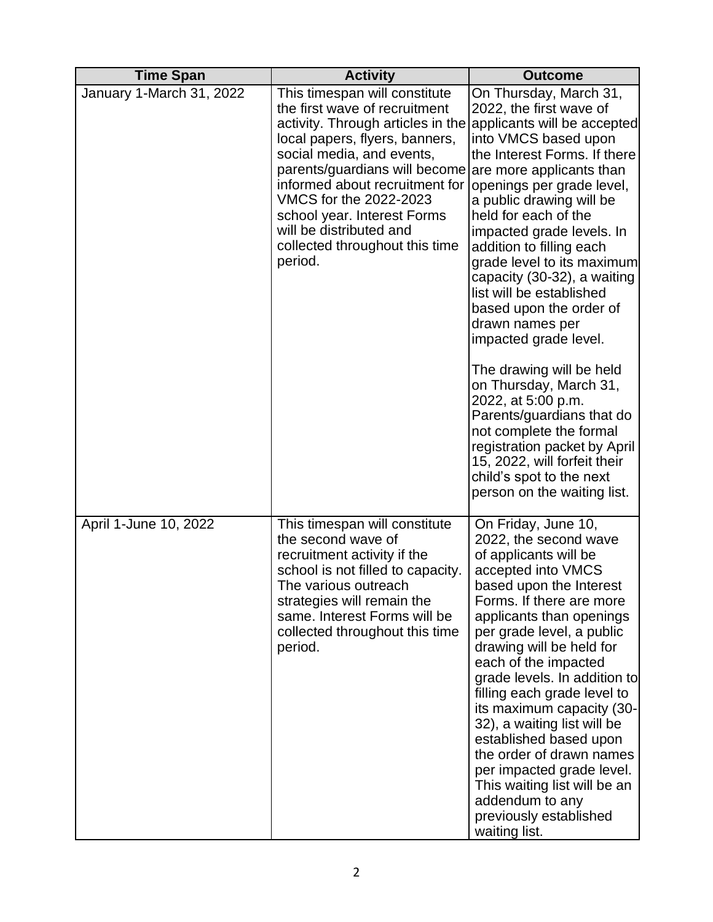| <b>Time Span</b>         | <b>Activity</b>                                                                                                                                                                                                                                                                                                                                                                                    | <b>Outcome</b>                                                                                                                                                                                                                                                                                                                                                                                                                                                                                                                                                                                                                                                                                                 |
|--------------------------|----------------------------------------------------------------------------------------------------------------------------------------------------------------------------------------------------------------------------------------------------------------------------------------------------------------------------------------------------------------------------------------------------|----------------------------------------------------------------------------------------------------------------------------------------------------------------------------------------------------------------------------------------------------------------------------------------------------------------------------------------------------------------------------------------------------------------------------------------------------------------------------------------------------------------------------------------------------------------------------------------------------------------------------------------------------------------------------------------------------------------|
| January 1-March 31, 2022 | This timespan will constitute<br>the first wave of recruitment<br>activity. Through articles in the applicants will be accepted<br>local papers, flyers, banners,<br>social media, and events,<br>parents/guardians will become<br>informed about recruitment for<br>VMCS for the 2022-2023<br>school year. Interest Forms<br>will be distributed and<br>collected throughout this time<br>period. | On Thursday, March 31,<br>2022, the first wave of<br>into VMCS based upon<br>the Interest Forms. If there<br>are more applicants than<br>openings per grade level,<br>a public drawing will be<br>held for each of the<br>impacted grade levels. In<br>addition to filling each<br>grade level to its maximum<br>capacity (30-32), a waiting<br>list will be established<br>based upon the order of<br>drawn names per<br>impacted grade level.<br>The drawing will be held<br>on Thursday, March 31,<br>2022, at 5:00 p.m.<br>Parents/guardians that do<br>not complete the formal<br>registration packet by April<br>15, 2022, will forfeit their<br>child's spot to the next<br>person on the waiting list. |
| April 1-June 10, 2022    | This timespan will constitute<br>the second wave of<br>recruitment activity if the<br>school is not filled to capacity.<br>The various outreach<br>strategies will remain the<br>same. Interest Forms will be<br>collected throughout this time<br>period.                                                                                                                                         | On Friday, June 10,<br>2022, the second wave<br>of applicants will be<br>accepted into VMCS<br>based upon the Interest<br>Forms. If there are more<br>applicants than openings<br>per grade level, a public<br>drawing will be held for<br>each of the impacted<br>grade levels. In addition to<br>filling each grade level to<br>its maximum capacity (30-<br>32), a waiting list will be<br>established based upon<br>the order of drawn names<br>per impacted grade level.<br>This waiting list will be an<br>addendum to any<br>previously established<br>waiting list.                                                                                                                                    |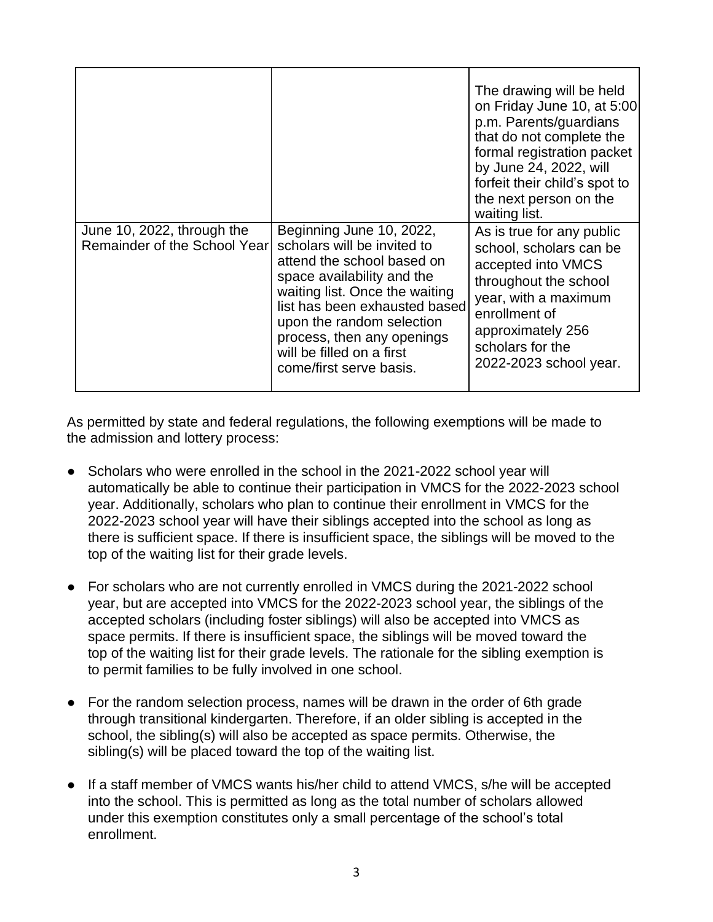|                                                            |                                                                                                                                                                                                                                                                                                           | The drawing will be held<br>on Friday June 10, at 5:00<br>p.m. Parents/guardians<br>that do not complete the<br>formal registration packet<br>by June 24, 2022, will<br>forfeit their child's spot to<br>the next person on the<br>waiting list. |
|------------------------------------------------------------|-----------------------------------------------------------------------------------------------------------------------------------------------------------------------------------------------------------------------------------------------------------------------------------------------------------|--------------------------------------------------------------------------------------------------------------------------------------------------------------------------------------------------------------------------------------------------|
| June 10, 2022, through the<br>Remainder of the School Year | Beginning June 10, 2022,<br>scholars will be invited to<br>attend the school based on<br>space availability and the<br>waiting list. Once the waiting<br>list has been exhausted based<br>upon the random selection<br>process, then any openings<br>will be filled on a first<br>come/first serve basis. | As is true for any public<br>school, scholars can be<br>accepted into VMCS<br>throughout the school<br>year, with a maximum<br>enrollment of<br>approximately 256<br>scholars for the<br>2022-2023 school year.                                  |

As permitted by state and federal regulations, the following exemptions will be made to the admission and lottery process:

- Scholars who were enrolled in the school in the 2021-2022 school year will automatically be able to continue their participation in VMCS for the 2022-2023 school year. Additionally, scholars who plan to continue their enrollment in VMCS for the 2022-2023 school year will have their siblings accepted into the school as long as there is sufficient space. If there is insufficient space, the siblings will be moved to the top of the waiting list for their grade levels.
- For scholars who are not currently enrolled in VMCS during the 2021-2022 school year, but are accepted into VMCS for the 2022-2023 school year, the siblings of the accepted scholars (including foster siblings) will also be accepted into VMCS as space permits. If there is insufficient space, the siblings will be moved toward the top of the waiting list for their grade levels. The rationale for the sibling exemption is to permit families to be fully involved in one school.
- For the random selection process, names will be drawn in the order of 6th grade through transitional kindergarten. Therefore, if an older sibling is accepted in the school, the sibling(s) will also be accepted as space permits. Otherwise, the sibling(s) will be placed toward the top of the waiting list.
- If a staff member of VMCS wants his/her child to attend VMCS, s/he will be accepted into the school. This is permitted as long as the total number of scholars allowed under this exemption constitutes only a small percentage of the school's total enrollment.